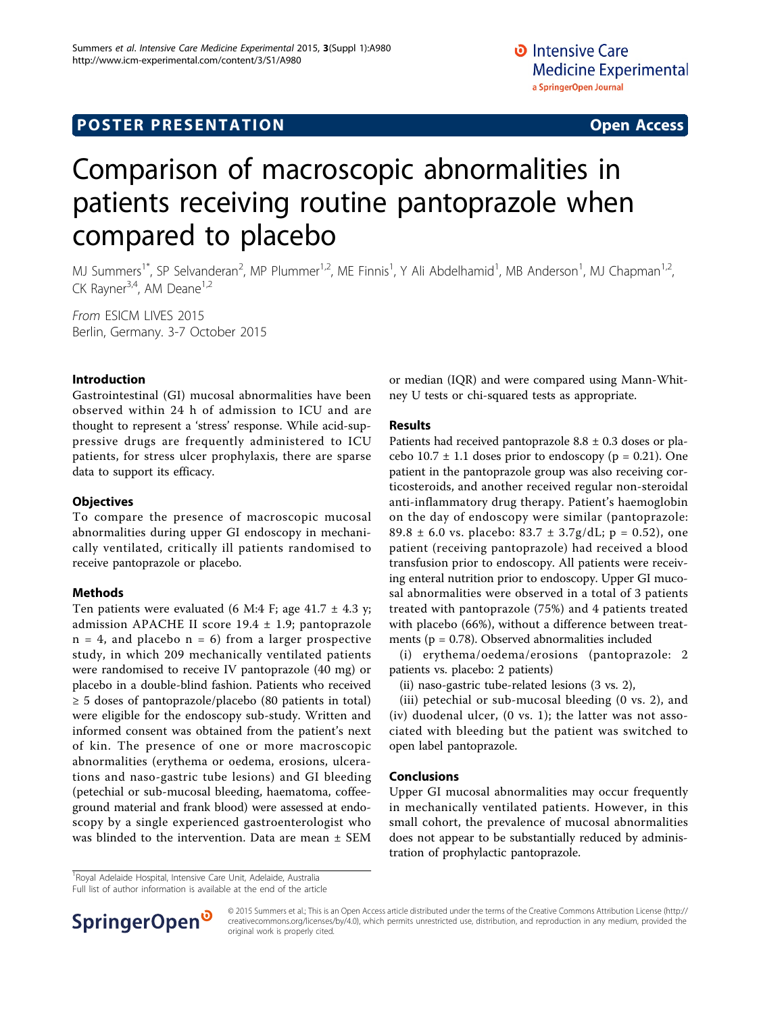## **POSTER PRESENTATION CONSUMING THE SERVICE SERVICE SERVICES**

# Comparison of macroscopic abnormalities in patients receiving routine pantoprazole when compared to placebo

MJ Summers<sup>1\*</sup>, SP Selvanderan<sup>2</sup>, MP Plummer<sup>1,2</sup>, ME Finnis<sup>1</sup>, Y Ali Abdelhamid<sup>1</sup>, MB Anderson<sup>1</sup>, MJ Chapman<sup>1,2</sup>, CK Rayner<sup>3,4</sup>, AM Deane<sup>1,2</sup>

From ESICM LIVES 2015 Berlin, Germany. 3-7 October 2015

### Introduction

Gastrointestinal (GI) mucosal abnormalities have been observed within 24 h of admission to ICU and are thought to represent a 'stress' response. While acid-suppressive drugs are frequently administered to ICU patients, for stress ulcer prophylaxis, there are sparse data to support its efficacy.

#### **Objectives**

To compare the presence of macroscopic mucosal abnormalities during upper GI endoscopy in mechanically ventilated, critically ill patients randomised to receive pantoprazole or placebo.

#### Methods

Ten patients were evaluated (6 M:4 F; age 41.7  $\pm$  4.3 y; admission APACHE II score 19.4 ± 1.9; pantoprazole  $n = 4$ , and placebo  $n = 6$ ) from a larger prospective study, in which 209 mechanically ventilated patients were randomised to receive IV pantoprazole (40 mg) or placebo in a double-blind fashion. Patients who received  $\geq$  5 doses of pantoprazole/placebo (80 patients in total) were eligible for the endoscopy sub-study. Written and informed consent was obtained from the patient's next of kin. The presence of one or more macroscopic abnormalities (erythema or oedema, erosions, ulcerations and naso-gastric tube lesions) and GI bleeding (petechial or sub-mucosal bleeding, haematoma, coffeeground material and frank blood) were assessed at endoscopy by a single experienced gastroenterologist who was blinded to the intervention. Data are mean ± SEM

or median (IQR) and were compared using Mann-Whitney U tests or chi-squared tests as appropriate.

#### Results

Patients had received pantoprazole 8.8 ± 0.3 doses or placebo  $10.7 \pm 1.1$  doses prior to endoscopy ( $p = 0.21$ ). One patient in the pantoprazole group was also receiving corticosteroids, and another received regular non-steroidal anti-inflammatory drug therapy. Patient's haemoglobin on the day of endoscopy were similar (pantoprazole: 89.8  $\pm$  6.0 vs. placebo: 83.7  $\pm$  3.7g/dL; p = 0.52), one patient (receiving pantoprazole) had received a blood transfusion prior to endoscopy. All patients were receiving enteral nutrition prior to endoscopy. Upper GI mucosal abnormalities were observed in a total of 3 patients treated with pantoprazole (75%) and 4 patients treated with placebo (66%), without a difference between treatments ( $p = 0.78$ ). Observed abnormalities included

(i) erythema/oedema/erosions (pantoprazole: 2 patients vs. placebo: 2 patients)

(ii) naso-gastric tube-related lesions (3 vs. 2),

(iii) petechial or sub-mucosal bleeding (0 vs. 2), and (iv) duodenal ulcer, (0 vs. 1); the latter was not associated with bleeding but the patient was switched to open label pantoprazole.

#### Conclusions

Upper GI mucosal abnormalities may occur frequently in mechanically ventilated patients. However, in this small cohort, the prevalence of mucosal abnormalities does not appear to be substantially reduced by administration of prophylactic pantoprazole.

<sup>1</sup> Royal Adelaide Hospital, Intensive Care Unit, Adelaide, Australia

Full list of author information is available at the end of the article



© 2015 Summers et al.; This is an Open Access article distributed under the terms of the Creative Commons Attribution License [\(http://](http://creativecommons.org/licenses/by/4.0) [creativecommons.org/licenses/by/4.0](http://creativecommons.org/licenses/by/4.0)), which permits unrestricted use, distribution, and reproduction in any medium, provided the original work is properly cited.